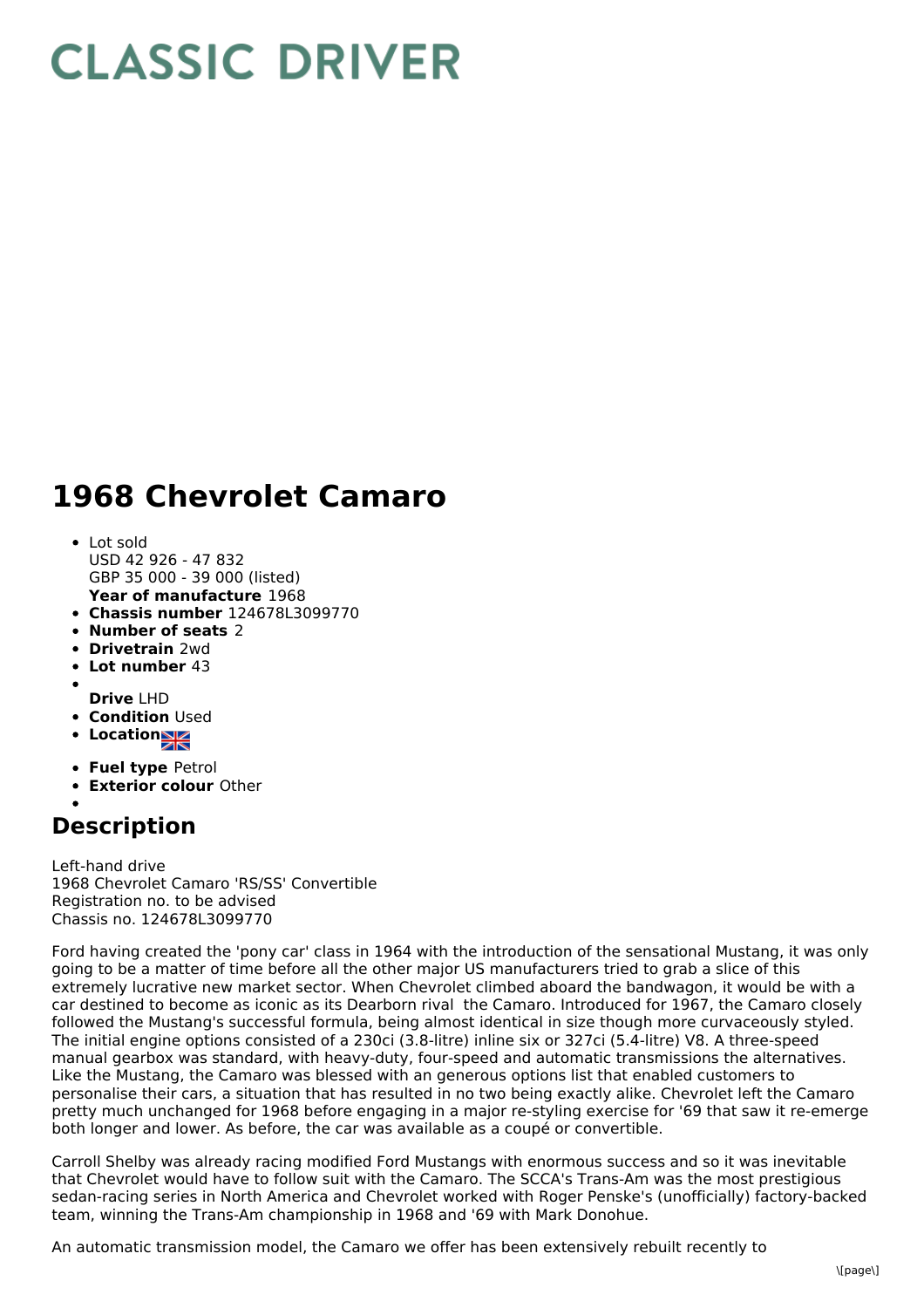## **CLASSIC DRIVER**

## **1968 Chevrolet Camaro**

- **Year of manufacture** 1968 Lot sold USD 42 926 - 47 832 GBP 35 000 - 39 000 (listed)
- **Chassis number** 124678L3099770
- **Number of seats** 2
- **Drivetrain** 2wd
- **Lot number** 43
- **Drive** LHD
- **Condition Used**
- **Location**
- 
- **Fuel type** Petrol
- **Exterior colour** Other

## **Description**

Left-hand drive 1968 Chevrolet Camaro 'RS/SS' Convertible Registration no. to be advised Chassis no. 124678L3099770

Ford having created the 'pony car' class in 1964 with the introduction of the sensational Mustang, it was only going to be a matter of time before all the other major US manufacturers tried to grab a slice of this extremely lucrative new market sector. When Chevrolet climbed aboard the bandwagon, it would be with a car destined to become as iconic as its Dearborn rival the Camaro. Introduced for 1967, the Camaro closely followed the Mustang's successful formula, being almost identical in size though more curvaceously styled. The initial engine options consisted of a 230ci (3.8-litre) inline six or 327ci (5.4-litre) V8. A three-speed manual gearbox was standard, with heavy-duty, four-speed and automatic transmissions the alternatives. Like the Mustang, the Camaro was blessed with an generous options list that enabled customers to personalise their cars, a situation that has resulted in no two being exactly alike. Chevrolet left the Camaro pretty much unchanged for 1968 before engaging in a major re-styling exercise for '69 that saw it re-emerge both longer and lower. As before, the car was available as a coupé or convertible.

Carroll Shelby was already racing modified Ford Mustangs with enormous success and so it was inevitable that Chevrolet would have to follow suit with the Camaro. The SCCA's Trans-Am was the most prestigious sedan-racing series in North America and Chevrolet worked with Roger Penske's (unofficially) factory-backed team, winning the Trans-Am championship in 1968 and '69 with Mark Donohue.

An automatic transmission model, the Camaro we offer has been extensively rebuilt recently to